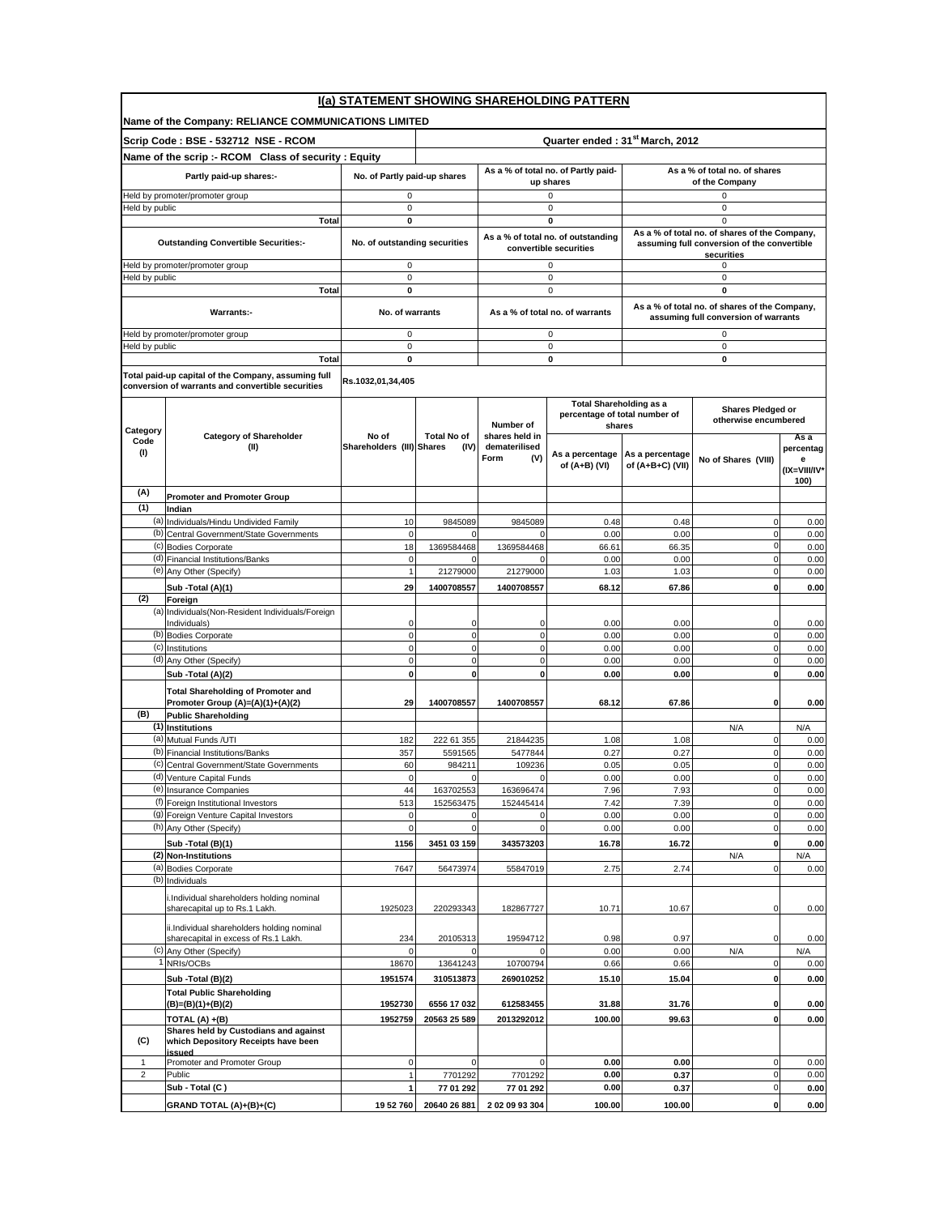|                         |                                                                                                          |                                    |                                             |                                                | I(a) STATEMENT SHOWING SHAREHOLDING PATTERN                     |                               |                                                                                       |                       |  |  |
|-------------------------|----------------------------------------------------------------------------------------------------------|------------------------------------|---------------------------------------------|------------------------------------------------|-----------------------------------------------------------------|-------------------------------|---------------------------------------------------------------------------------------|-----------------------|--|--|
|                         | Name of the Company: RELIANCE COMMUNICATIONS LIMITED                                                     |                                    |                                             |                                                |                                                                 |                               |                                                                                       |                       |  |  |
|                         | Scrip Code: BSE - 532712 NSE - RCOM                                                                      |                                    | Quarter ended: 31 <sup>st</sup> March, 2012 |                                                |                                                                 |                               |                                                                                       |                       |  |  |
|                         | Name of the scrip :- RCOM Class of security : Equity                                                     |                                    |                                             | As a % of total no. of Partly paid-            |                                                                 | As a % of total no. of shares |                                                                                       |                       |  |  |
|                         | Partly paid-up shares:-                                                                                  | No. of Partly paid-up shares       |                                             |                                                | up shares                                                       |                               | of the Company                                                                        |                       |  |  |
|                         | Held by promoter/promoter group                                                                          | 0<br>0                             |                                             |                                                | $\mathsf 0$<br>0                                                |                               | 0<br>0                                                                                |                       |  |  |
| leld by public          | <b>Total</b>                                                                                             | 0                                  |                                             |                                                | 0                                                               |                               | $\mathbf 0$                                                                           |                       |  |  |
|                         |                                                                                                          |                                    |                                             |                                                | As a % of total no. of outstanding                              |                               | As a % of total no. of shares of the Company,                                         |                       |  |  |
|                         | <b>Outstanding Convertible Securities:-</b>                                                              | No. of outstanding securities      |                                             |                                                | convertible securities                                          |                               | assuming full conversion of the convertible<br>securities                             |                       |  |  |
|                         | Held by promoter/promoter group                                                                          | 0                                  |                                             |                                                | $\mathbf 0$                                                     |                               | 0                                                                                     |                       |  |  |
| Held by public          | <b>Total</b>                                                                                             | $\pmb{0}$<br>O                     |                                             |                                                | $\mathbf 0$<br>0                                                |                               | $\mathbf 0$<br>0                                                                      |                       |  |  |
|                         | Warrants:-                                                                                               | No. of warrants                    |                                             |                                                | As a % of total no. of warrants                                 |                               | As a % of total no. of shares of the Company,<br>assuming full conversion of warrants |                       |  |  |
|                         | Held by promoter/promoter group                                                                          | 0                                  |                                             |                                                | 0                                                               |                               | 0                                                                                     |                       |  |  |
| leld by public          |                                                                                                          | $\pmb{0}$<br>0                     |                                             |                                                | $\mathsf 0$<br>$\mathbf 0$                                      |                               | $\mathbf 0$<br>0                                                                      |                       |  |  |
|                         | <b>Total</b>                                                                                             |                                    |                                             |                                                |                                                                 |                               |                                                                                       |                       |  |  |
|                         | Total paid-up capital of the Company, assuming full<br>conversion of warrants and convertible securities | Rs.1032,01,34,405                  |                                             |                                                |                                                                 |                               |                                                                                       |                       |  |  |
|                         |                                                                                                          |                                    |                                             | Number of                                      | <b>Total Shareholding as a</b><br>percentage of total number of |                               | <b>Shares Pledged or</b><br>otherwise encumbered                                      |                       |  |  |
| Category<br>Code<br>(1) | <b>Category of Shareholder</b><br>(II)                                                                   | No of<br>Shareholders (III) Shares | <b>Total No of</b><br>(IV)                  | shares held in<br>dematerilised<br>Form<br>(V) | shares<br>As a percentage                                       | As a percentage               | No of Shares (VIII)                                                                   | Asa<br>percentag<br>e |  |  |
|                         |                                                                                                          |                                    |                                             |                                                | of (A+B) (VI)                                                   | of (A+B+C) (VII)              |                                                                                       | (IX=VIII/IV*<br>100)  |  |  |
| (A)                     | <b>Promoter and Promoter Group</b>                                                                       |                                    |                                             |                                                |                                                                 |                               |                                                                                       |                       |  |  |
| (1)                     | Indian<br>(a) Individuals/Hindu Undivided Family                                                         | 10                                 | 9845089                                     | 9845089                                        |                                                                 | 0.48                          | $\mathbf 0$                                                                           |                       |  |  |
| (b)                     | Central Government/State Governments                                                                     | $\mathbf 0$                        | $\Omega$                                    | $\Omega$                                       | 0.48<br>0.00                                                    | 0.00                          | $\mathbf 0$                                                                           | 0.00<br>0.00          |  |  |
| (c)                     | <b>Bodies Corporate</b>                                                                                  | 18                                 | 1369584468                                  | 1369584468                                     | 66.61                                                           | 66.35                         | $\mathbf 0$                                                                           | 0.00                  |  |  |
|                         | (d) Financial Institutions/Banks                                                                         | $\mathbf 0$                        | $\mathbf 0$                                 | $\mathbf 0$                                    | 0.00                                                            | 0.00                          | $\mathbf 0$                                                                           | 0.00                  |  |  |
|                         | (e) Any Other (Specify)                                                                                  | $\mathbf{1}$                       | 21279000                                    | 21279000                                       | 1.03                                                            | 1.03                          | $\mathbf 0$                                                                           | 0.00                  |  |  |
| (2)                     | Sub - Total (A)(1)<br>Foreign                                                                            | 29                                 | 1400708557                                  | 1400708557                                     | 68.12                                                           | 67.86                         | $\mathbf 0$                                                                           | 0.00                  |  |  |
|                         | (a) Individuals (Non-Resident Individuals/Foreign                                                        |                                    |                                             |                                                |                                                                 |                               |                                                                                       |                       |  |  |
| (b)                     | Individuals)<br><b>Bodies Corporate</b>                                                                  | $\mathbf 0$<br>$\mathbf 0$         | $\mathbf 0$<br>$\mathbf{0}$                 | 0<br>$\mathbf 0$                               | 0.00<br>0.00                                                    | 0.00<br>0.00                  | $\mathbf 0$<br>$\pmb{0}$                                                              | 0.00<br>0.00          |  |  |
| (c)                     | Institutions                                                                                             | $\mathbf 0$                        | $\mathbf{0}$                                | $\mathbf 0$                                    | 0.00                                                            | 0.00                          | $\pmb{0}$                                                                             | 0.00                  |  |  |
|                         | (d) Any Other (Specify)                                                                                  | $\mathbf 0$                        | $\mathbf{0}$                                | $\mathbf 0$                                    | 0.00                                                            | 0.00                          | $\mathbf 0$                                                                           | 0.00                  |  |  |
|                         | Sub - Total (A)(2)                                                                                       | $\mathbf 0$                        | $\mathbf{0}$                                | $\mathbf 0$                                    | 0.00                                                            | 0.00                          | $\mathbf{0}$                                                                          | 0.00                  |  |  |
|                         | <b>Total Shareholding of Promoter and</b><br>Promoter Group (A)=(A)(1)+(A)(2)                            | 29                                 | 1400708557                                  | 1400708557                                     | 68.12                                                           | 67.86                         | 0                                                                                     | 0.00                  |  |  |
| (B)                     | <b>Public Shareholding</b>                                                                               |                                    |                                             |                                                |                                                                 |                               |                                                                                       |                       |  |  |
|                         | (1) Institutions<br>(a) Mutual Funds /UTI                                                                | 182                                | 222 61 355                                  | 21844235                                       | 1.08                                                            | 1.08                          | N/A<br>$\pmb{0}$                                                                      | N/A<br>0.00           |  |  |
| (b)                     | Financial Institutions/Banks                                                                             | 357                                | 5591565                                     | 5477844                                        | 0.27                                                            | 0.27                          | $\mathbf 0$                                                                           | 0.00                  |  |  |
|                         | (c) Central Government/State Governments                                                                 | 60                                 | 984211                                      | 109236                                         | 0.05                                                            | 0.05                          | $\mathbf 0$                                                                           | 0.00                  |  |  |
|                         | (d) Venture Capital Funds                                                                                | $\mathbf 0$                        | $\mathbf{0}$                                | 0                                              | 0.00                                                            | 0.00                          | $\mathbf 0$                                                                           | 0.00                  |  |  |
|                         | (e) Insurance Companies<br>(f) Foreign Institutional Investors                                           | 44<br>513                          | 163702553<br>152563475                      | 163696474<br>152445414                         | 7.96<br>7.42                                                    | 7.93<br>7.39                  | $\overline{0}$<br>$\mathbf 0$                                                         | 0.00<br>0.00          |  |  |
|                         | (g) Foreign Venture Capital Investors                                                                    | $\mathbf 0$                        | $\mathbf{0}$                                | $\mathbf 0$                                    | 0.00                                                            | 0.00                          | $\mathbf 0$                                                                           | 0.00                  |  |  |
|                         | (h) Any Other (Specify)                                                                                  | $\mathbf 0$                        | $\circ$                                     | $\mathbf 0$                                    | 0.00                                                            | 0.00                          | $\mathbf 0$                                                                           | 0.00                  |  |  |
|                         | Sub - Total (B)(1)                                                                                       | 1156                               | 3451 03 159                                 | 343573203                                      | 16.78                                                           | 16.72                         | $\mathbf 0$                                                                           | 0.00                  |  |  |
| (a)                     | (2) Non-Institutions<br><b>Bodies Corporate</b>                                                          | 7647                               | 56473974                                    | 55847019                                       | 2.75                                                            | 2.74                          | N/A<br>$\mathbf 0$                                                                    | N/A<br>0.00           |  |  |
|                         | (b) Individuals                                                                                          |                                    |                                             |                                                |                                                                 |                               |                                                                                       |                       |  |  |
|                         | i.Individual shareholders holding nominal<br>sharecapital up to Rs.1 Lakh.                               | 1925023                            | 220293343                                   | 182867727                                      | 10.71                                                           | 10.67                         | $\mathbf 0$                                                                           | 0.00                  |  |  |
|                         | ii.Individual shareholders holding nominal<br>sharecapital in excess of Rs.1 Lakh.                       | 234                                | 20105313                                    | 19594712                                       | 0.98                                                            | 0.97                          | $\mathbf 0$                                                                           | 0.00                  |  |  |
| (c)                     | Any Other (Specify)                                                                                      | $\Omega$                           | $\mathbf{0}$                                | $\Omega$                                       | 0.00                                                            | 0.00                          | N/A                                                                                   | N/A                   |  |  |
|                         | NRIs/OCBs                                                                                                | 18670                              | 13641243                                    | 10700794                                       | 0.66                                                            | 0.66                          | $\mathbf 0$<br>$\mathbf 0$                                                            | 0.00                  |  |  |
|                         | Sub - Total (B)(2)<br><b>Total Public Shareholding</b>                                                   | 1951574                            | 310513873                                   | 269010252                                      | 15.10                                                           | 15.04                         |                                                                                       | 0.00                  |  |  |
|                         | (B)=(B)(1)+(B)(2)                                                                                        | 1952730                            | 6556 17 032                                 | 612583455                                      | 31.88                                                           | 31.76                         | 0                                                                                     | 0.00                  |  |  |
|                         | TOTAL (A) +(B)                                                                                           | 1952759                            | 20563 25 589                                | 2013292012                                     | 100.00                                                          | 99.63                         | $\mathbf 0$                                                                           | 0.00                  |  |  |
| (C)                     | Shares held by Custodians and against<br>which Depository Receipts have been                             |                                    |                                             |                                                |                                                                 |                               |                                                                                       |                       |  |  |
| $\mathbf{1}$            | issued<br>Promoter and Promoter Group                                                                    | $\pmb{0}$                          | $\mathbf 0$                                 | $\mathbf 0$                                    | 0.00                                                            | 0.00                          | $\pmb{0}$                                                                             | 0.00                  |  |  |
| $\overline{2}$          | Public                                                                                                   | $\mathbf{1}$                       | 7701292                                     | 7701292                                        | 0.00                                                            | 0.37                          | $\mathbf 0$                                                                           | 0.00                  |  |  |
|                         | Sub - Total (C)                                                                                          | 1                                  | 77 01 292                                   | 77 01 292                                      | 0.00                                                            | 0.37                          | $\mathbf 0$                                                                           | 0.00                  |  |  |
|                         | GRAND TOTAL (A)+(B)+(C)                                                                                  | 19 52 760                          | 20640 26 881                                | 2 02 09 93 304                                 | 100.00                                                          | 100.00                        | $\mathbf 0$                                                                           | 0.00                  |  |  |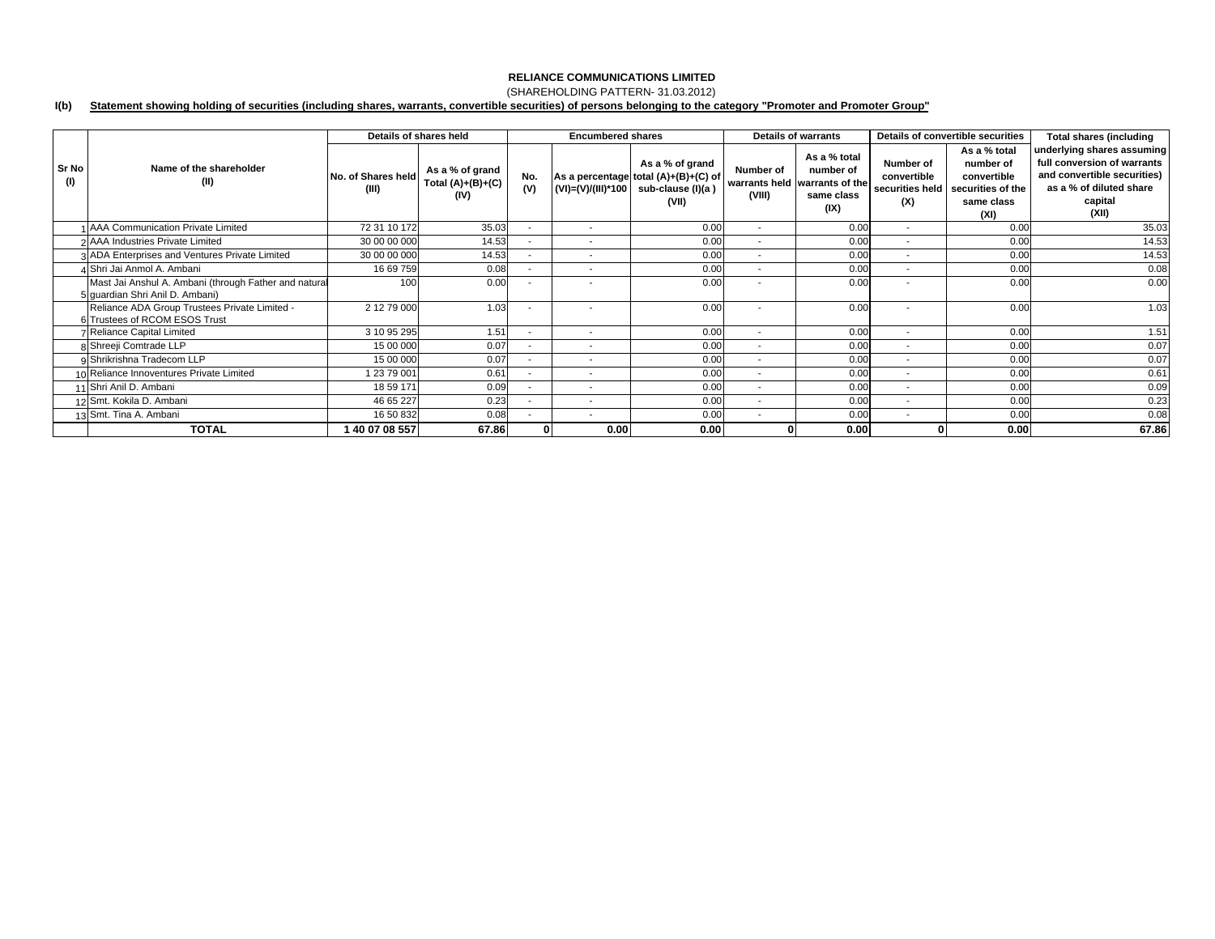### (SHAREHOLDING PATTERN- 31.03.2012)

#### **I(b) Statement showing holding of securities (including shares, warrants, convertible securities) of persons belonging to the category "Promoter and Promoter Group"**

|              |                                                                                          | Details of shares held      |                                                | <b>Encumbered shares</b> |                          |                                                                                       | <b>Details of warrants</b> |                                                                                  | Details of convertible securities                  |                                                                                     | <b>Total shares (including</b>                                                                                                          |
|--------------|------------------------------------------------------------------------------------------|-----------------------------|------------------------------------------------|--------------------------|--------------------------|---------------------------------------------------------------------------------------|----------------------------|----------------------------------------------------------------------------------|----------------------------------------------------|-------------------------------------------------------------------------------------|-----------------------------------------------------------------------------------------------------------------------------------------|
| Sr No<br>(1) | Name of the shareholder<br>(II)                                                          | No. of Shares held<br>(III) | As a % of grand<br>Total $(A)+(B)+(C)$<br>(IV) | No.<br>(V)               | (VI)=(V)/(III)*100       | As a % of grand<br>As a percentage total (A)+(B)+(C) of<br>sub-clause (I)(a)<br>(VII) | Number of<br>(VIII)        | As a % total<br>number of<br>warrants held warrants of the<br>same class<br>(IX) | Number of<br>convertible<br>securities held<br>(X) | As a % total<br>number of<br>convertible<br>securities of the<br>same class<br>(XI) | underlying shares assuming<br>full conversion of warrants<br>and convertible securities)<br>as a % of diluted share<br>capital<br>(XII) |
|              | 1 AAA Communication Private Limited                                                      | 72 31 10 172                | 35.03                                          | $\overline{\phantom{a}}$ | $\sim$                   | 0.00                                                                                  | $\sim$                     | 0.00                                                                             | $\overline{\phantom{a}}$                           | 0.00                                                                                | 35.03                                                                                                                                   |
|              | 2 AAA Industries Private Limited                                                         | 30 00 00 000                | 14.53                                          | $\blacksquare$           | $\overline{\phantom{a}}$ | 0.00                                                                                  | $\sim$                     | 0.00                                                                             | $\overline{\phantom{a}}$                           | 0.00                                                                                | 14.53                                                                                                                                   |
|              | 3 ADA Enterprises and Ventures Private Limited                                           | 30 00 00 000                | 14.53                                          | $\overline{\phantom{a}}$ | $\overline{\phantom{a}}$ | 0.00                                                                                  | $\overline{\phantom{a}}$   | 0.00                                                                             | $\overline{\phantom{a}}$                           | 0.00                                                                                | 14.53                                                                                                                                   |
|              | 4 Shri Jai Anmol A. Ambani                                                               | 16 69 759                   | 0.08                                           | $\overline{\phantom{a}}$ | $\overline{\phantom{a}}$ | 0.00                                                                                  | $\overline{\phantom{a}}$   | 0.00                                                                             | $\overline{\phantom{a}}$                           | 0.00                                                                                | 0.08                                                                                                                                    |
|              | Mast Jai Anshul A. Ambani (through Father and natural<br>5 quardian Shri Anil D. Ambani) | 100                         | 0.00                                           | $\overline{\phantom{a}}$ | $\overline{\phantom{a}}$ | 0.00                                                                                  | $\overline{\phantom{a}}$   | 0.00                                                                             | $\overline{\phantom{a}}$                           | 0.00                                                                                | 0.00                                                                                                                                    |
|              | Reliance ADA Group Trustees Private Limited -<br>6 Trustees of RCOM ESOS Trust           | 2 12 79 000                 | 1.03                                           | $\overline{\phantom{a}}$ | $\overline{\phantom{a}}$ | 0.00                                                                                  | $\overline{\phantom{a}}$   | 0.00                                                                             | $\overline{\phantom{a}}$                           | 0.00                                                                                | 1.03                                                                                                                                    |
|              | 7 Reliance Capital Limited                                                               | 3 10 95 295                 | 1.51                                           | $\overline{\phantom{a}}$ | $\overline{\phantom{a}}$ | 0.00                                                                                  | $\overline{\phantom{a}}$   | 0.00                                                                             | $\overline{\phantom{a}}$                           | 0.00                                                                                | 1.51                                                                                                                                    |
|              | 8 Shreeji Comtrade LLP                                                                   | 15 00 000                   | 0.07                                           | $\blacksquare$           | $\overline{\phantom{a}}$ | 0.00                                                                                  | $\sim$                     | 0.00                                                                             |                                                    | 0.00                                                                                | 0.07                                                                                                                                    |
|              | 9 Shrikrishna Tradecom LLP                                                               | 15 00 000                   | 0.07                                           | $\overline{\phantom{a}}$ | $\overline{\phantom{a}}$ | 0.00                                                                                  | $\sim$                     | 0.00                                                                             | $\overline{\phantom{a}}$                           | 0.00                                                                                | 0.07                                                                                                                                    |
|              | 10 Reliance Innoventures Private Limited                                                 | 1 23 79 001                 | 0.61                                           | $\overline{\phantom{a}}$ | $\overline{\phantom{a}}$ | 0.00                                                                                  | $\overline{\phantom{a}}$   | 0.00                                                                             | $\overline{\phantom{a}}$                           | 0.00                                                                                | 0.61                                                                                                                                    |
|              | 11 Shri Anil D. Ambani                                                                   | 18 59 171                   | 0.09                                           | $\overline{\phantom{a}}$ | $\overline{\phantom{a}}$ | 0.00                                                                                  | $\sim$                     | 0.00                                                                             | $\overline{\phantom{a}}$                           | 0.00                                                                                | 0.09                                                                                                                                    |
|              | 12 Smt. Kokila D. Ambani                                                                 | 46 65 227                   | 0.23                                           |                          | $\overline{\phantom{a}}$ | 0.00                                                                                  | $\overline{\phantom{a}}$   | 0.00                                                                             | $\overline{\phantom{a}}$                           | 0.00                                                                                | 0.23                                                                                                                                    |
|              | 13 Smt. Tina A. Ambani                                                                   | 16 50 832                   | 0.08                                           | $\blacksquare$           | $\overline{\phantom{a}}$ | 0.00                                                                                  | $\sim$                     | 0.00                                                                             | $\sim$                                             | 0.00                                                                                | 0.08                                                                                                                                    |
|              | <b>TOTAL</b>                                                                             | 40 07 08 557                | 67.86                                          |                          | 0.00                     | 0.00                                                                                  |                            | 0.00                                                                             |                                                    | 0.00                                                                                | 67.86                                                                                                                                   |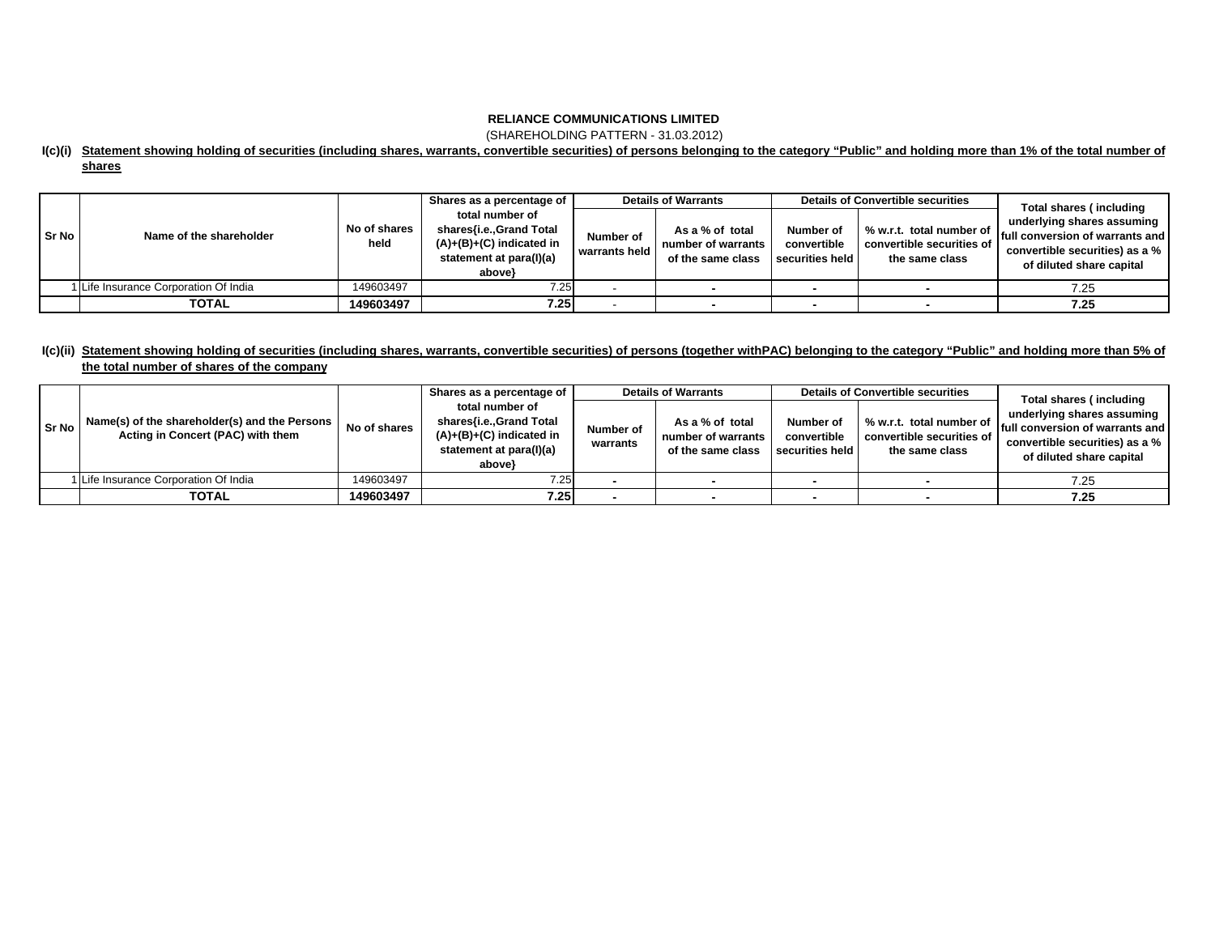(SHAREHOLDING PATTERN - 31.03.2012)

### **I(c)(i) Statement showing holding of securities (including shares, warrants, convertible securities) of persons belonging to the category "Public" and holding more than 1% of the total number of shares**

|       |                                       |                      | Shares as a percentage of                                                                                     | <b>Details of Warrants</b> |                                                            | <b>Details of Convertible securities</b>    |                                                                         | Total shares (including                                                                                                       |  |
|-------|---------------------------------------|----------------------|---------------------------------------------------------------------------------------------------------------|----------------------------|------------------------------------------------------------|---------------------------------------------|-------------------------------------------------------------------------|-------------------------------------------------------------------------------------------------------------------------------|--|
| Sr No | Name of the shareholder               | No of shares<br>held | total number of<br>shares{i.e.,Grand Total<br>$(A)+(B)+(C)$ indicated in<br>statement at para(I)(a)<br>above} | Number of<br>warrants held | As a % of total<br>number of warrants<br>of the same class | Number of<br>convertible<br>securities held | % w.r.t. total number of<br>convertible securities of<br>the same class | underlying shares assuming<br>full conversion of warrants and I<br>convertible securities) as a %<br>of diluted share capital |  |
|       | 1 Life Insurance Corporation Of India | 149603497            | 7.25                                                                                                          |                            |                                                            |                                             |                                                                         | 7.25                                                                                                                          |  |
|       | <b>TOTAL</b>                          | 149603497            | 7.25                                                                                                          |                            |                                                            |                                             |                                                                         | 7.25                                                                                                                          |  |

### **I(c)(ii) Statement showing holding of securities (including shares, warrants, convertible securities) of persons (together withPAC) belonging to the category "Public" and holding more than 5% of the total number of shares of the company**

| <b>Sr No</b> | Name(s) of the shareholder(s) and the Persons<br>Acting in Concert (PAC) with them | No of shares | Shares as a percentage of<br>total number of<br>shares{i.e.,Grand Total<br>$(A)+(B)+(C)$ indicated in<br>statement at para(I)(a) | Number of<br>warrants | <b>Details of Warrants</b><br>As a % of total<br>number of warrants<br>of the same class | Number of<br>convertible<br>securities held | <b>Details of Convertible securities</b><br>% w.r.t. total number of<br>convertible securities of<br>the same class | Total shares (including<br>underlying shares assuming<br><b>Ifull conversion of warrants and</b><br>convertible securities) as a %<br>of diluted share capital |
|--------------|------------------------------------------------------------------------------------|--------------|----------------------------------------------------------------------------------------------------------------------------------|-----------------------|------------------------------------------------------------------------------------------|---------------------------------------------|---------------------------------------------------------------------------------------------------------------------|----------------------------------------------------------------------------------------------------------------------------------------------------------------|
|              | Life Insurance Corporation Of India                                                | 149603497    | above}<br>7.25                                                                                                                   |                       |                                                                                          |                                             |                                                                                                                     | 7.25                                                                                                                                                           |
|              | <b>TOTAL</b>                                                                       | 149603497    | 7.25                                                                                                                             |                       |                                                                                          |                                             |                                                                                                                     | 7.25                                                                                                                                                           |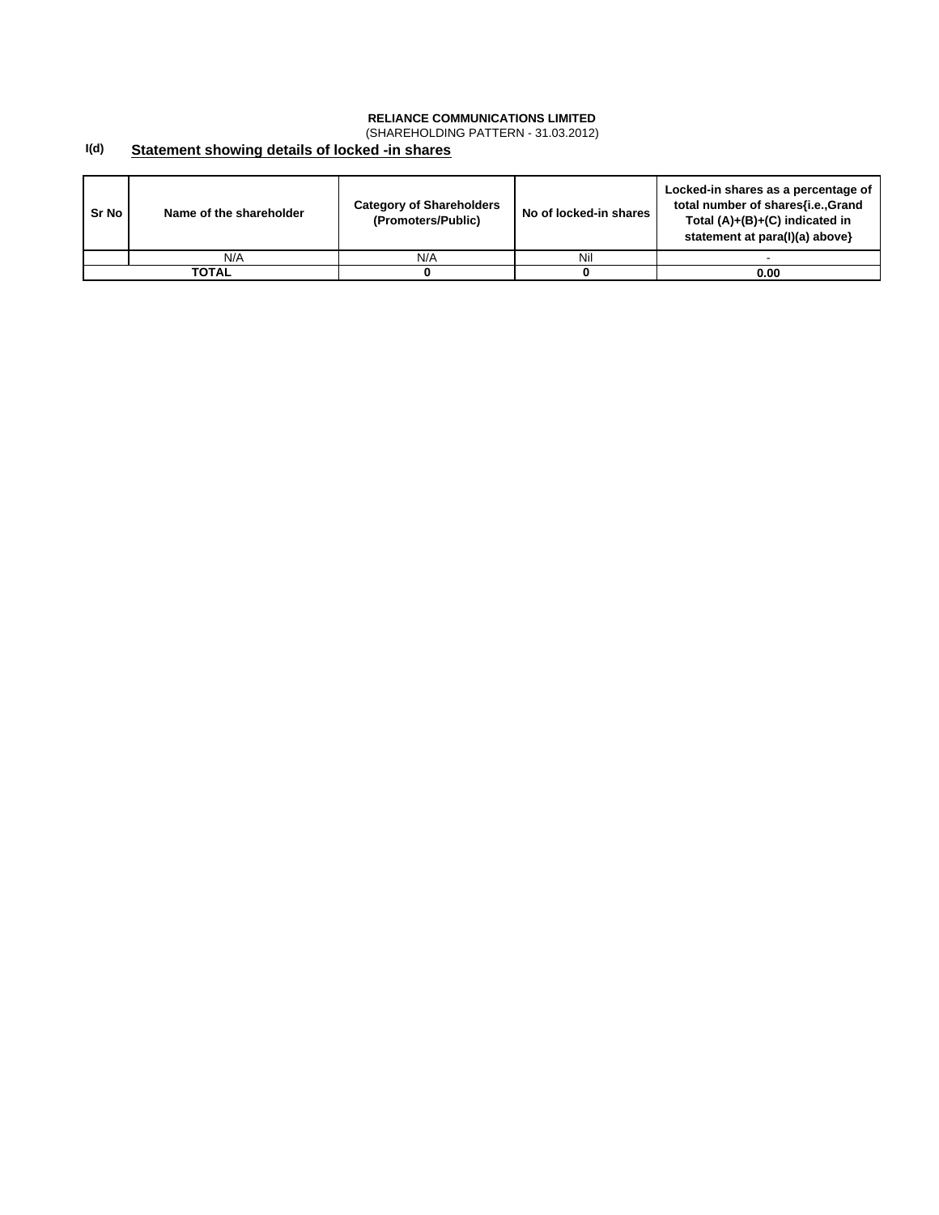(SHAREHOLDING PATTERN - 31.03.2012)

#### **I(d) Statement showing details of locked -in shares**

| Sr No | Name of the shareholder | <b>Category of Shareholders</b><br>(Promoters/Public) | No of locked-in shares | Locked-in shares as a percentage of<br>total number of shares{i.e., Grand<br>Total $(A)+(B)+(C)$ indicated in<br>statement at para(I)(a) above} |
|-------|-------------------------|-------------------------------------------------------|------------------------|-------------------------------------------------------------------------------------------------------------------------------------------------|
|       | N/A                     | N/A                                                   | Nil                    |                                                                                                                                                 |
|       | ΤΟΤΑL                   |                                                       |                        | 0.00                                                                                                                                            |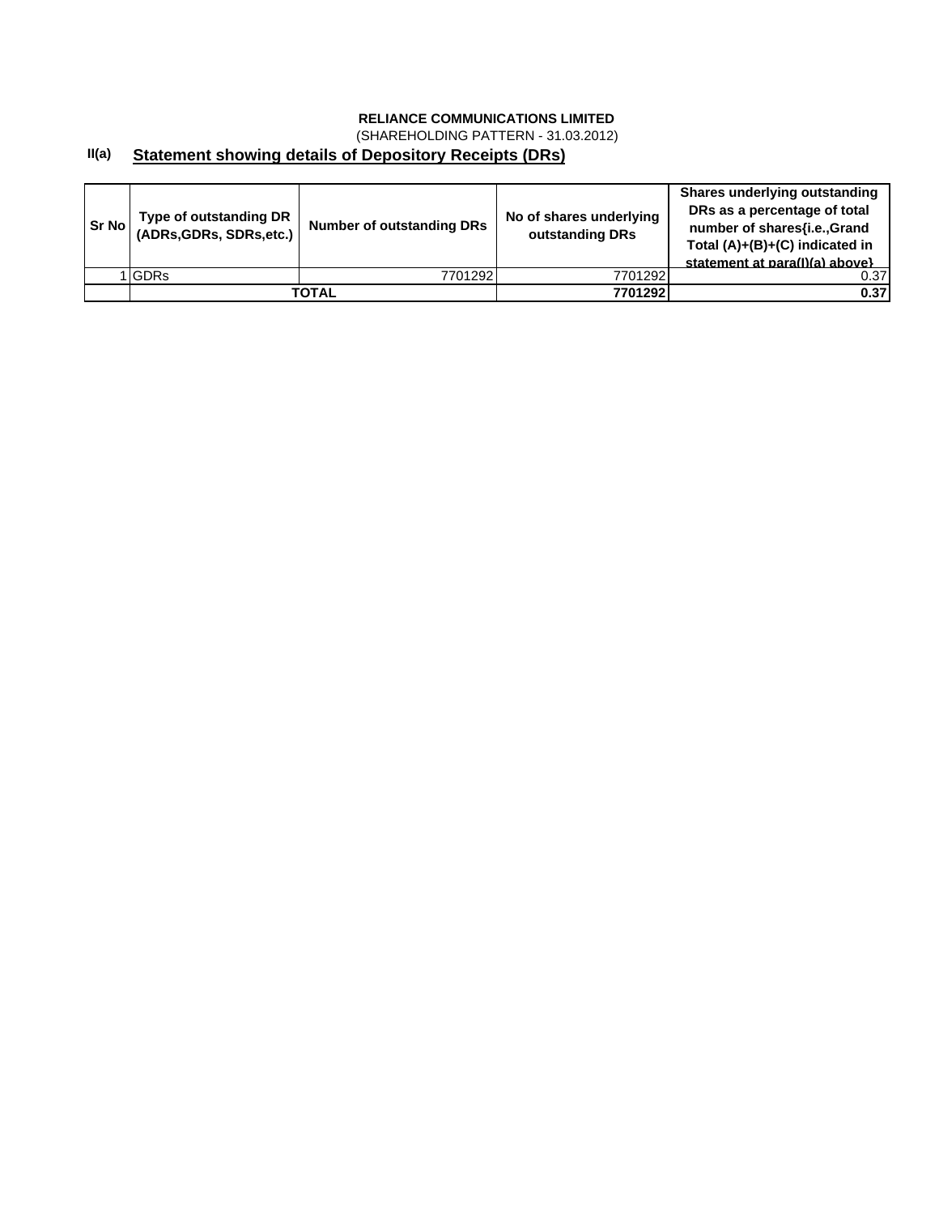(SHAREHOLDING PATTERN - 31.03.2012)

#### **II(a) Statement showing details of Depository Receipts (DRs)**

| <b>Sr No</b> | Type of outstanding DR<br>(ADRs, GDRs, SDRs, etc.) | Number of outstanding DRs | No of shares underlying<br>outstanding DRs | Shares underlying outstanding<br>DRs as a percentage of total<br>number of shares{i.e., Grand<br>Total $(A)+(B)+(C)$ indicated in<br>statement at para(I)(a) above} |
|--------------|----------------------------------------------------|---------------------------|--------------------------------------------|---------------------------------------------------------------------------------------------------------------------------------------------------------------------|
|              | <b>GDRs</b>                                        | 7701292                   | 7701292                                    | 0.37                                                                                                                                                                |
|              |                                                    | TOTAL                     | 7701292                                    | 0.37                                                                                                                                                                |